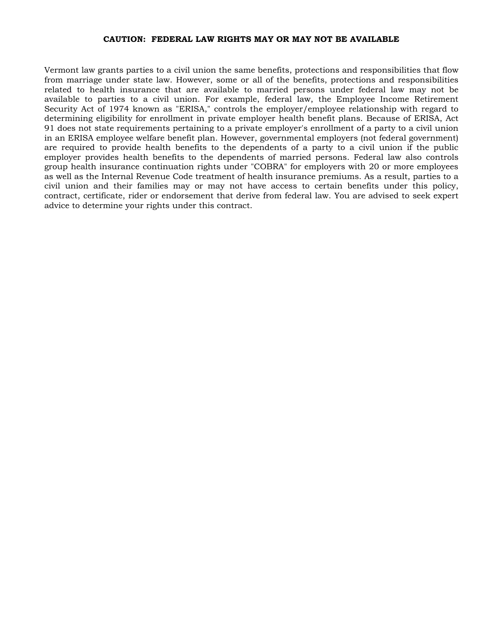#### CAUTION: FEDERAL LAW RIGHTS MAY OR MAY NOT BE AVAILABLE

Vermont law grants parties to a civil union the same benefits, protections and responsibilities that flow from marriage under state law. However, some or all of the benefits, protections and responsibilities related to health insurance that are available to married persons under federal law may not be available to parties to a civil union. For example, federal law, the Employee Income Retirement Security Act of 1974 known as "ERISA," controls the employer/employee relationship with regard to determining eligibility for enrollment in private employer health benefit plans. Because of ERISA, Act 91 does not state requirements pertaining to a private employer's enrollment of a party to a civil union in an ERISA employee welfare benefit plan. However, governmental employers (not federal government) are required to provide health benefits to the dependents of a party to a civil union if the public employer provides health benefits to the dependents of married persons. Federal law also controls group health insurance continuation rights under "COBRA" for employers with 20 or more employees as well as the Internal Revenue Code treatment of health insurance premiums. As a result, parties to a civil union and their families may or may not have access to certain benefits under this policy, contract, certificate, rider or endorsement that derive from federal law. You are advised to seek expert advice to determine your rights under this contract.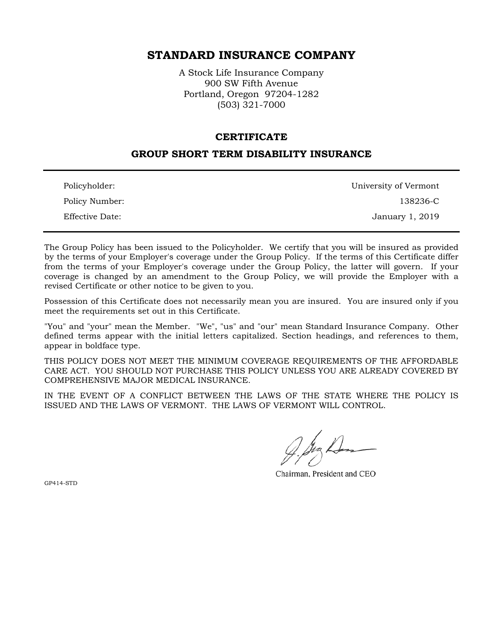# STANDARD INSURANCE COMPANY

A Stock Life Insurance Company 900 SW Fifth Avenue Portland, Oregon 97204-1282 (503) 321-7000

#### **CERTIFICATE**

### GROUP SHORT TERM DISABILITY INSURANCE

| Policyholder:   | University of Vermont |
|-----------------|-----------------------|
| Policy Number:  | 138236-C              |
| Effective Date: | January 1, 2019       |

The Group Policy has been issued to the Policyholder. We certify that you will be insured as provided by the terms of your Employer's coverage under the Group Policy. If the terms of this Certificate differ from the terms of your Employer's coverage under the Group Policy, the latter will govern. If your coverage is changed by an amendment to the Group Policy, we will provide the Employer with a revised Certificate or other notice to be given to you.

Possession of this Certificate does not necessarily mean you are insured. You are insured only if you meet the requirements set out in this Certificate.

"You" and "your" mean the Member. "We", "us" and "our" mean Standard Insurance Company. Other defined terms appear with the initial letters capitalized. Section headings, and references to them, appear in boldface type.

THIS POLICY DOES NOT MEET THE MINIMUM COVERAGE REQUIREMENTS OF THE AFFORDABLE CARE ACT. YOU SHOULD NOT PURCHASE THIS POLICY UNLESS YOU ARE ALREADY COVERED BY COMPREHENSIVE MAJOR MEDICAL INSURANCE.

IN THE EVENT OF A CONFLICT BETWEEN THE LAWS OF THE STATE WHERE THE POLICY IS ISSUED AND THE LAWS OF VERMONT. THE LAWS OF VERMONT WILL CONTROL.

Chairman, President and CEO

GP414-STD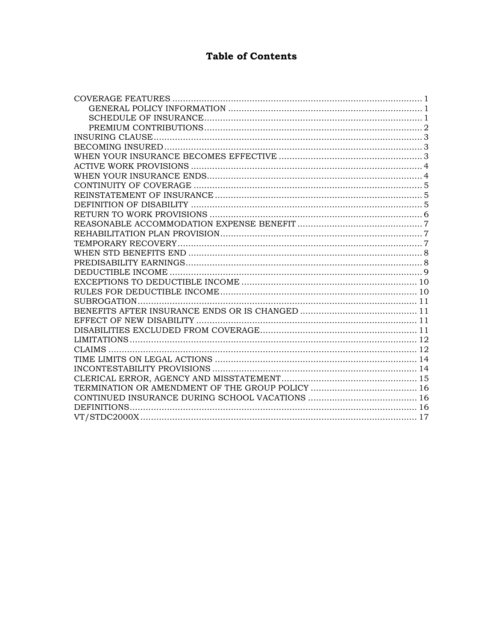# **Table of Contents**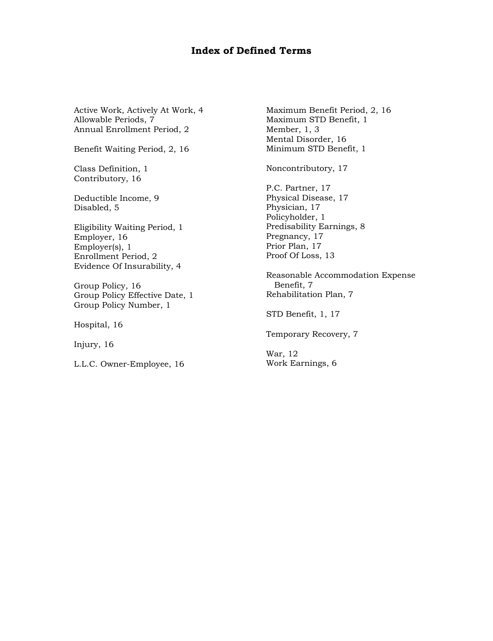# Index of Defined Terms

Active Work, Actively At Work, 4 Allowable Periods, 7 Annual Enrollment Period, 2

Benefit Waiting Period, 2, 16

Class Definition, 1 Contributory, 16

Deductible Income, 9 Disabled, 5

Eligibility Waiting Period, 1 Employer, 16 Employer(s), 1 Enrollment Period, 2 Evidence Of Insurability, 4

Group Policy, 16 Group Policy Effective Date, 1 Group Policy Number, 1

Hospital, 16

Injury, 16

L.L.C. Owner-Employee, 16

Maximum Benefit Period, 2, 16 Maximum STD Benefit, 1 Member, 1, 3 Mental Disorder, 16 Minimum STD Benefit, 1

Noncontributory, 17

P.C. Partner, 17 Physical Disease, 17 Physician, 17 Policyholder, 1 Predisability Earnings, 8 Pregnancy, 17 Prior Plan, 17 Proof Of Loss, 13

Reasonable Accommodation Expense Benefit, 7 Rehabilitation Plan, 7

STD Benefit, 1, 17

Temporary Recovery, 7

War, 12 Work Earnings, 6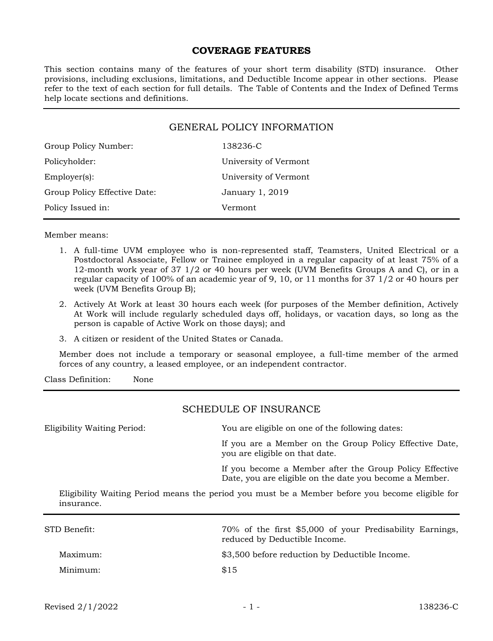### COVERAGE FEATURES

This section contains many of the features of your short term disability (STD) insurance. Other provisions, including exclusions, limitations, and Deductible Income appear in other sections. Please refer to the text of each section for full details. The Table of Contents and the Index of Defined Terms help locate sections and definitions.

| <b>GENERAL POLICY INFORMATION</b> |                       |  |
|-----------------------------------|-----------------------|--|
| Group Policy Number:              | 138236-C              |  |
| Policyholder:                     | University of Vermont |  |
| $Emplover(s)$ :                   | University of Vermont |  |
| Group Policy Effective Date:      | January 1, 2019       |  |
| Policy Issued in:                 | Vermont               |  |

Member means:

- 1. A full-time UVM employee who is non-represented staff, Teamsters, United Electrical or a Postdoctoral Associate, Fellow or Trainee employed in a regular capacity of at least 75% of a 12-month work year of 37 1/2 or 40 hours per week (UVM Benefits Groups A and C), or in a regular capacity of 100% of an academic year of 9, 10, or 11 months for 37 1/2 or 40 hours per week (UVM Benefits Group B);
- 2. Actively At Work at least 30 hours each week (for purposes of the Member definition, Actively At Work will include regularly scheduled days off, holidays, or vacation days, so long as the person is capable of Active Work on those days); and
- 3. A citizen or resident of the United States or Canada.

Member does not include a temporary or seasonal employee, a full-time member of the armed forces of any country, a leased employee, or an independent contractor.

Class Definition: None

## SCHEDULE OF INSURANCE

Eligibility Waiting Period: You are eligible on one of the following dates: If you are a Member on the Group Policy Effective Date, you are eligible on that date. If you become a Member after the Group Policy Effective Date, you are eligible on the date you become a Member.

Eligibility Waiting Period means the period you must be a Member before you become eligible for insurance.

| STD Benefit: | 70% of the first \$5,000 of your Predisability Earnings,<br>reduced by Deductible Income. |
|--------------|-------------------------------------------------------------------------------------------|
| Maximum:     | \$3,500 before reduction by Deductible Income.                                            |
| Minimum:     | \$15                                                                                      |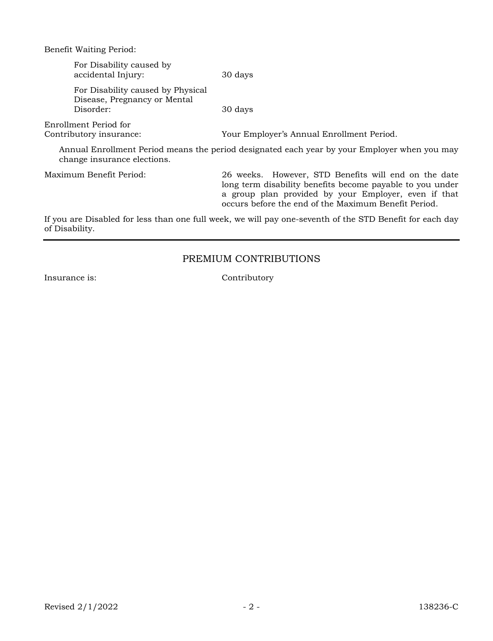Benefit Waiting Period:

| For Disability caused by<br>accidental Injury:                                                                              | 30 days                                                                                                           |
|-----------------------------------------------------------------------------------------------------------------------------|-------------------------------------------------------------------------------------------------------------------|
| For Disability caused by Physical<br>Disease, Pregnancy or Mental<br>Disorder:                                              | 30 days                                                                                                           |
| Enrollment Period for<br>Contributory insurance:                                                                            | Your Employer's Annual Enrollment Period.                                                                         |
| Annual Enrollment Period means the period designated each year by your Employer when you may<br>change insurance elections. |                                                                                                                   |
| Maximum Benefit Period:                                                                                                     | 26 weeks. However, STD Benefits will end on the date<br>lang taun disability benefits became neveble to you under |

long term disability benefits become payable to you under a group plan provided by your Employer, even if that occurs before the end of the Maximum Benefit Period.

If you are Disabled for less than one full week, we will pay one-seventh of the STD Benefit for each day of Disability.

# PREMIUM CONTRIBUTIONS

Insurance is: Contributory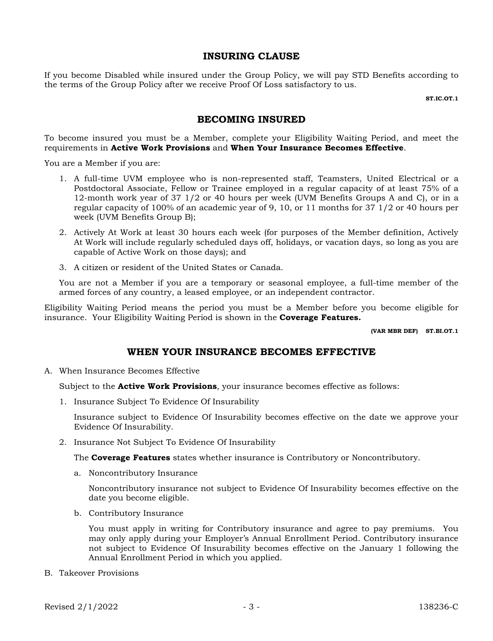## INSURING CLAUSE

If you become Disabled while insured under the Group Policy, we will pay STD Benefits according to the terms of the Group Policy after we receive Proof Of Loss satisfactory to us.

ST.IC.OT.1

# BECOMING INSURED

To become insured you must be a Member, complete your Eligibility Waiting Period, and meet the requirements in Active Work Provisions and When Your Insurance Becomes Effective.

You are a Member if you are:

- 1. A full-time UVM employee who is non-represented staff, Teamsters, United Electrical or a Postdoctoral Associate, Fellow or Trainee employed in a regular capacity of at least 75% of a 12-month work year of 37 1/2 or 40 hours per week (UVM Benefits Groups A and C), or in a regular capacity of 100% of an academic year of 9, 10, or 11 months for 37 1/2 or 40 hours per week (UVM Benefits Group B);
- 2. Actively At Work at least 30 hours each week (for purposes of the Member definition, Actively At Work will include regularly scheduled days off, holidays, or vacation days, so long as you are capable of Active Work on those days); and
- 3. A citizen or resident of the United States or Canada.

You are not a Member if you are a temporary or seasonal employee, a full-time member of the armed forces of any country, a leased employee, or an independent contractor.

Eligibility Waiting Period means the period you must be a Member before you become eligible for insurance. Your Eligibility Waiting Period is shown in the **Coverage Features.** 

(VAR MBR DEF) ST.BI.OT.1

### WHEN YOUR INSURANCE BECOMES EFFECTIVE

A. When Insurance Becomes Effective

Subject to the **Active Work Provisions**, your insurance becomes effective as follows:

1. Insurance Subject To Evidence Of Insurability

Insurance subject to Evidence Of Insurability becomes effective on the date we approve your Evidence Of Insurability.

2. Insurance Not Subject To Evidence Of Insurability

The **Coverage Features** states whether insurance is Contributory or Noncontributory.

a. Noncontributory Insurance

Noncontributory insurance not subject to Evidence Of Insurability becomes effective on the date you become eligible.

b. Contributory Insurance

You must apply in writing for Contributory insurance and agree to pay premiums. You may only apply during your Employer's Annual Enrollment Period. Contributory insurance not subject to Evidence Of Insurability becomes effective on the January 1 following the Annual Enrollment Period in which you applied.

B. Takeover Provisions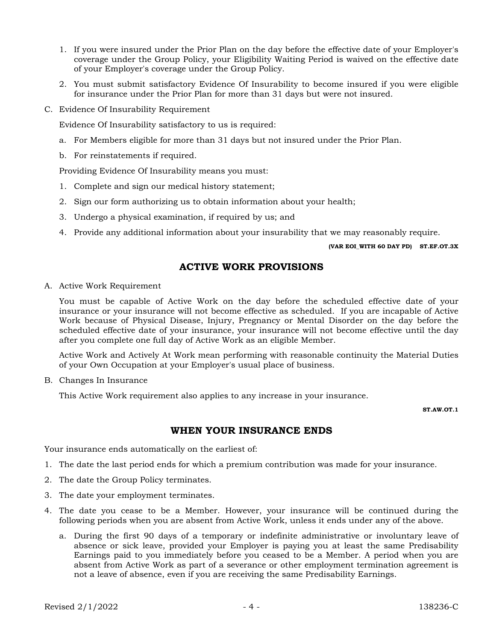- 1. If you were insured under the Prior Plan on the day before the effective date of your Employer's coverage under the Group Policy, your Eligibility Waiting Period is waived on the effective date of your Employer's coverage under the Group Policy.
- 2. You must submit satisfactory Evidence Of Insurability to become insured if you were eligible for insurance under the Prior Plan for more than 31 days but were not insured.
- C. Evidence Of Insurability Requirement

Evidence Of Insurability satisfactory to us is required:

- a. For Members eligible for more than 31 days but not insured under the Prior Plan.
- b. For reinstatements if required.

Providing Evidence Of Insurability means you must:

- 1. Complete and sign our medical history statement;
- 2. Sign our form authorizing us to obtain information about your health;
- 3. Undergo a physical examination, if required by us; and
- 4. Provide any additional information about your insurability that we may reasonably require.

#### (VAR EOI\_WITH 60 DAY PD) ST.EF.OT.3X

## ACTIVE WORK PROVISIONS

A. Active Work Requirement

You must be capable of Active Work on the day before the scheduled effective date of your insurance or your insurance will not become effective as scheduled. If you are incapable of Active Work because of Physical Disease, Injury, Pregnancy or Mental Disorder on the day before the scheduled effective date of your insurance, your insurance will not become effective until the day after you complete one full day of Active Work as an eligible Member.

Active Work and Actively At Work mean performing with reasonable continuity the Material Duties of your Own Occupation at your Employer's usual place of business.

B. Changes In Insurance

This Active Work requirement also applies to any increase in your insurance.

ST. AW OT 1

# WHEN YOUR INSURANCE ENDS

Your insurance ends automatically on the earliest of:

- 1. The date the last period ends for which a premium contribution was made for your insurance.
- 2. The date the Group Policy terminates.
- 3. The date your employment terminates.
- 4. The date you cease to be a Member. However, your insurance will be continued during the following periods when you are absent from Active Work, unless it ends under any of the above.
	- a. During the first 90 days of a temporary or indefinite administrative or involuntary leave of absence or sick leave, provided your Employer is paying you at least the same Predisability Earnings paid to you immediately before you ceased to be a Member. A period when you are absent from Active Work as part of a severance or other employment termination agreement is not a leave of absence, even if you are receiving the same Predisability Earnings.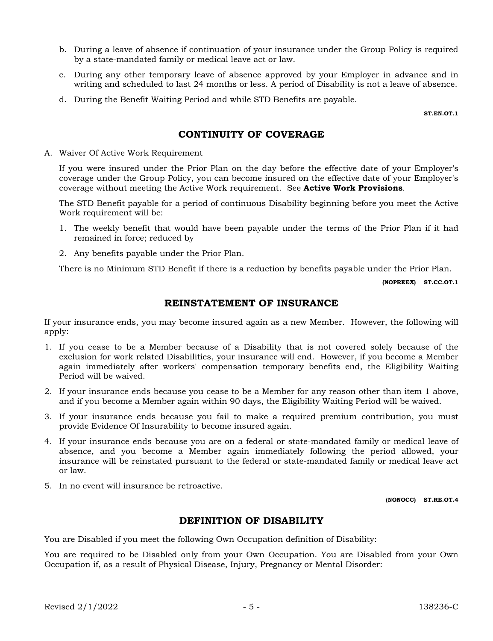- b. During a leave of absence if continuation of your insurance under the Group Policy is required by a state-mandated family or medical leave act or law.
- c. During any other temporary leave of absence approved by your Employer in advance and in writing and scheduled to last 24 months or less. A period of Disability is not a leave of absence.
- d. During the Benefit Waiting Period and while STD Benefits are payable.

ST.EN.OT.1

# CONTINUITY OF COVERAGE

A. Waiver Of Active Work Requirement

If you were insured under the Prior Plan on the day before the effective date of your Employer's coverage under the Group Policy, you can become insured on the effective date of your Employer's coverage without meeting the Active Work requirement. See **Active Work Provisions**.

The STD Benefit payable for a period of continuous Disability beginning before you meet the Active Work requirement will be:

- 1. The weekly benefit that would have been payable under the terms of the Prior Plan if it had remained in force; reduced by
- 2. Any benefits payable under the Prior Plan.

There is no Minimum STD Benefit if there is a reduction by benefits payable under the Prior Plan.

(NOPREEX) ST.CC.OT.1

# REINSTATEMENT OF INSURANCE

If your insurance ends, you may become insured again as a new Member. However, the following will apply:

- 1. If you cease to be a Member because of a Disability that is not covered solely because of the exclusion for work related Disabilities, your insurance will end. However, if you become a Member again immediately after workers' compensation temporary benefits end, the Eligibility Waiting Period will be waived.
- 2. If your insurance ends because you cease to be a Member for any reason other than item 1 above, and if you become a Member again within 90 days, the Eligibility Waiting Period will be waived.
- 3. If your insurance ends because you fail to make a required premium contribution, you must provide Evidence Of Insurability to become insured again.
- 4. If your insurance ends because you are on a federal or state-mandated family or medical leave of absence, and you become a Member again immediately following the period allowed, your insurance will be reinstated pursuant to the federal or state-mandated family or medical leave act or law.
- 5. In no event will insurance be retroactive.

(NONOCC) ST.RE.OT.4

# DEFINITION OF DISABILITY

You are Disabled if you meet the following Own Occupation definition of Disability:

You are required to be Disabled only from your Own Occupation. You are Disabled from your Own Occupation if, as a result of Physical Disease, Injury, Pregnancy or Mental Disorder: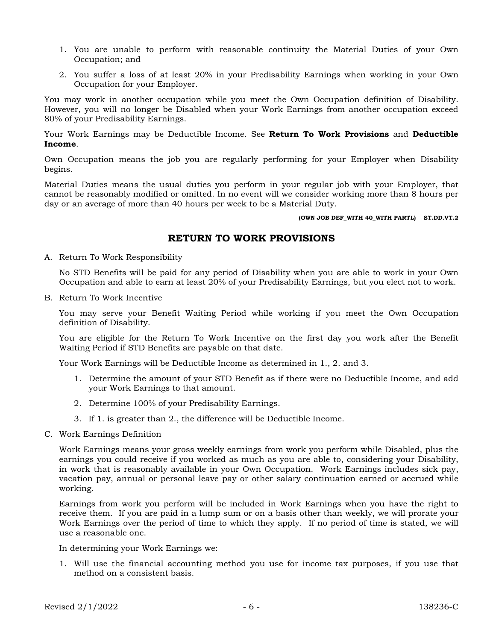- 1. You are unable to perform with reasonable continuity the Material Duties of your Own Occupation; and
- 2. You suffer a loss of at least 20% in your Predisability Earnings when working in your Own Occupation for your Employer.

You may work in another occupation while you meet the Own Occupation definition of Disability. However, you will no longer be Disabled when your Work Earnings from another occupation exceed 80% of your Predisability Earnings.

Your Work Earnings may be Deductible Income. See Return To Work Provisions and Deductible Income.

Own Occupation means the job you are regularly performing for your Employer when Disability begins.

Material Duties means the usual duties you perform in your regular job with your Employer, that cannot be reasonably modified or omitted. In no event will we consider working more than 8 hours per day or an average of more than 40 hours per week to be a Material Duty.

(OWN JOB DEF\_WITH 40\_WITH PARTL) ST.DD.VT.2

# RETURN TO WORK PROVISIONS

A. Return To Work Responsibility

No STD Benefits will be paid for any period of Disability when you are able to work in your Own Occupation and able to earn at least 20% of your Predisability Earnings, but you elect not to work.

B. Return To Work Incentive

You may serve your Benefit Waiting Period while working if you meet the Own Occupation definition of Disability.

You are eligible for the Return To Work Incentive on the first day you work after the Benefit Waiting Period if STD Benefits are payable on that date.

Your Work Earnings will be Deductible Income as determined in 1., 2. and 3.

- 1. Determine the amount of your STD Benefit as if there were no Deductible Income, and add your Work Earnings to that amount.
- 2. Determine 100% of your Predisability Earnings.
- 3. If 1. is greater than 2., the difference will be Deductible Income.
- C. Work Earnings Definition

Work Earnings means your gross weekly earnings from work you perform while Disabled, plus the earnings you could receive if you worked as much as you are able to, considering your Disability, in work that is reasonably available in your Own Occupation. Work Earnings includes sick pay, vacation pay, annual or personal leave pay or other salary continuation earned or accrued while working.

Earnings from work you perform will be included in Work Earnings when you have the right to receive them. If you are paid in a lump sum or on a basis other than weekly, we will prorate your Work Earnings over the period of time to which they apply. If no period of time is stated, we will use a reasonable one.

In determining your Work Earnings we:

1. Will use the financial accounting method you use for income tax purposes, if you use that method on a consistent basis.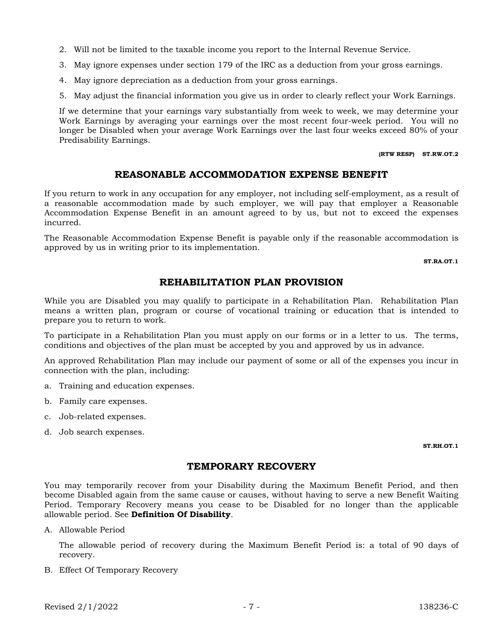- 2. Will not be limited to the taxable income you report to the Internal Revenue Service.
- 3. May ignore expenses under section 179 of the IRC as a deduction from your gross earnings.
- 4. May ignore depreciation as a deduction from your gross earnings.
- 5. May adjust the financial information you give us in order to clearly reflect your Work Earnings.

If we determine that your earnings vary substantially from week to week, we may determine your Work Earnings by averaging your earnings over the most recent four-week period. You will no longer be Disabled when your average Work Earnings over the last four weeks exceed 80% of your Predisability Earnings.

#### (RTW RESP) ST.RW.OT.2

# REASONABLE ACCOMMODATION EXPENSE BENEFIT

If you return to work in any occupation for any employer, not including self-employment, as a result of a reasonable accommodation made by such employer, we will pay that employer a Reasonable Accommodation Expense Benefit in an amount agreed to by us, but not to exceed the expenses incurred.

The Reasonable Accommodation Expense Benefit is payable only if the reasonable accommodation is approved by us in writing prior to its implementation.

ST.RA.OT.1

# REHABILITATION PLAN PROVISION

While you are Disabled you may qualify to participate in a Rehabilitation Plan. Rehabilitation Plan means a written plan, program or course of vocational training or education that is intended to prepare you to return to work.

To participate in a Rehabilitation Plan you must apply on our forms or in a letter to us. The terms, conditions and objectives of the plan must be accepted by you and approved by us in advance.

An approved Rehabilitation Plan may include our payment of some or all of the expenses you incur in connection with the plan, including:

- a. Training and education expenses.
- b. Family care expenses.
- c. Job-related expenses.
- d. Job search expenses.

#### ST.RH.OT.1

# TEMPORARY RECOVERY

You may temporarily recover from your Disability during the Maximum Benefit Period, and then become Disabled again from the same cause or causes, without having to serve a new Benefit Waiting Period. Temporary Recovery means you cease to be Disabled for no longer than the applicable allowable period. See Definition Of Disability.

A. Allowable Period

The allowable period of recovery during the Maximum Benefit Period is: a total of 90 days of recovery.

B. Effect Of Temporary Recovery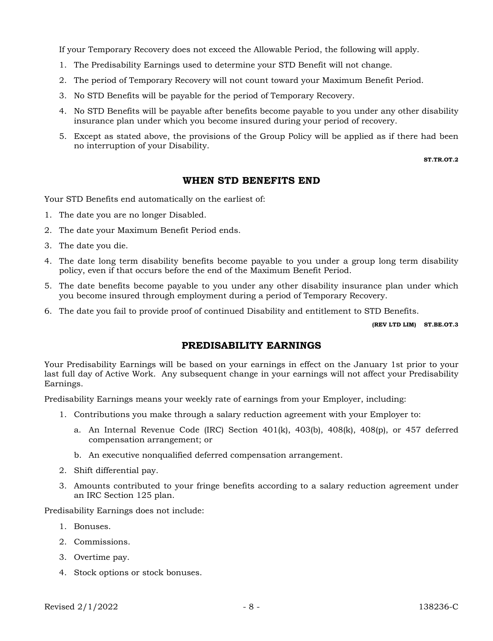If your Temporary Recovery does not exceed the Allowable Period, the following will apply.

- 1. The Predisability Earnings used to determine your STD Benefit will not change.
- 2. The period of Temporary Recovery will not count toward your Maximum Benefit Period.
- 3. No STD Benefits will be payable for the period of Temporary Recovery.
- 4. No STD Benefits will be payable after benefits become payable to you under any other disability insurance plan under which you become insured during your period of recovery.
- 5. Except as stated above, the provisions of the Group Policy will be applied as if there had been no interruption of your Disability.

ST.TR.OT.2

### WHEN STD BENEFITS END

Your STD Benefits end automatically on the earliest of:

- 1. The date you are no longer Disabled.
- 2. The date your Maximum Benefit Period ends.
- 3. The date you die.
- 4. The date long term disability benefits become payable to you under a group long term disability policy, even if that occurs before the end of the Maximum Benefit Period.
- 5. The date benefits become payable to you under any other disability insurance plan under which you become insured through employment during a period of Temporary Recovery.
- 6. The date you fail to provide proof of continued Disability and entitlement to STD Benefits.

(REV LTD LIM) ST.BE.OT.3

## PREDISABILITY EARNINGS

Your Predisability Earnings will be based on your earnings in effect on the January 1st prior to your last full day of Active Work. Any subsequent change in your earnings will not affect your Predisability Earnings.

Predisability Earnings means your weekly rate of earnings from your Employer, including:

- 1. Contributions you make through a salary reduction agreement with your Employer to:
	- a. An Internal Revenue Code (IRC) Section  $401(k)$ ,  $403(b)$ ,  $408(k)$ ,  $408(p)$ , or  $457$  deferred compensation arrangement; or
	- b. An executive nonqualified deferred compensation arrangement.
- 2. Shift differential pay.
- 3. Amounts contributed to your fringe benefits according to a salary reduction agreement under an IRC Section 125 plan.

Predisability Earnings does not include:

- 1. Bonuses.
- 2. Commissions.
- 3. Overtime pay.
- 4. Stock options or stock bonuses.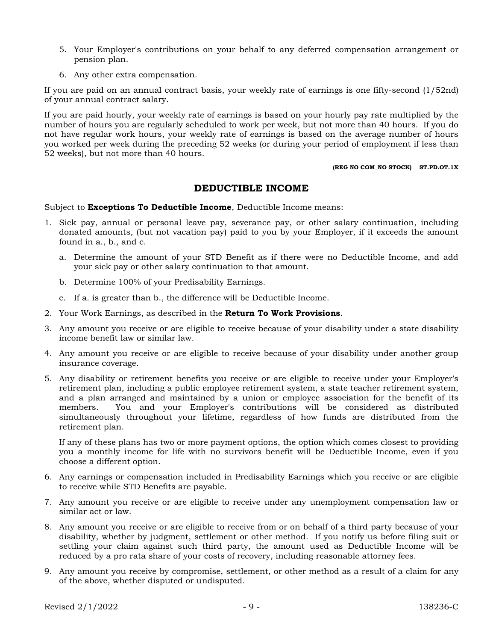- 5. Your Employer's contributions on your behalf to any deferred compensation arrangement or pension plan.
- 6. Any other extra compensation.

If you are paid on an annual contract basis, your weekly rate of earnings is one fifty-second (1/52nd) of your annual contract salary.

If you are paid hourly, your weekly rate of earnings is based on your hourly pay rate multiplied by the number of hours you are regularly scheduled to work per week, but not more than 40 hours. If you do not have regular work hours, your weekly rate of earnings is based on the average number of hours you worked per week during the preceding 52 weeks (or during your period of employment if less than 52 weeks), but not more than 40 hours.

#### (REG NO COM\_NO STOCK) ST.PD.OT.1X

### DEDUCTIBLE INCOME

Subject to **Exceptions To Deductible Income**, Deductible Income means:

- 1. Sick pay, annual or personal leave pay, severance pay, or other salary continuation, including donated amounts, (but not vacation pay) paid to you by your Employer, if it exceeds the amount found in a., b., and c.
	- a. Determine the amount of your STD Benefit as if there were no Deductible Income, and add your sick pay or other salary continuation to that amount.
	- b. Determine 100% of your Predisability Earnings.
	- c. If a. is greater than b., the difference will be Deductible Income.
- 2. Your Work Earnings, as described in the Return To Work Provisions.
- 3. Any amount you receive or are eligible to receive because of your disability under a state disability income benefit law or similar law.
- 4. Any amount you receive or are eligible to receive because of your disability under another group insurance coverage.
- 5. Any disability or retirement benefits you receive or are eligible to receive under your Employer's retirement plan, including a public employee retirement system, a state teacher retirement system, and a plan arranged and maintained by a union or employee association for the benefit of its members. You and your Employer's contributions will be considered as distributed simultaneously throughout your lifetime, regardless of how funds are distributed from the retirement plan.

If any of these plans has two or more payment options, the option which comes closest to providing you a monthly income for life with no survivors benefit will be Deductible Income, even if you choose a different option.

- 6. Any earnings or compensation included in Predisability Earnings which you receive or are eligible to receive while STD Benefits are payable.
- 7. Any amount you receive or are eligible to receive under any unemployment compensation law or similar act or law.
- 8. Any amount you receive or are eligible to receive from or on behalf of a third party because of your disability, whether by judgment, settlement or other method. If you notify us before filing suit or settling your claim against such third party, the amount used as Deductible Income will be reduced by a pro rata share of your costs of recovery, including reasonable attorney fees.
- 9. Any amount you receive by compromise, settlement, or other method as a result of a claim for any of the above, whether disputed or undisputed.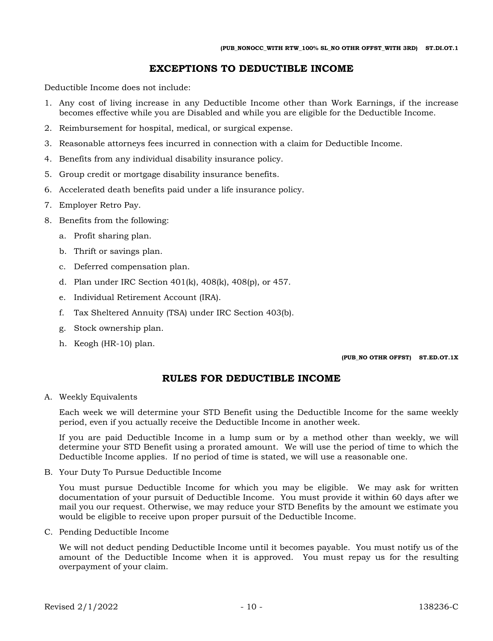# EXCEPTIONS TO DEDUCTIBLE INCOME

Deductible Income does not include:

- 1. Any cost of living increase in any Deductible Income other than Work Earnings, if the increase becomes effective while you are Disabled and while you are eligible for the Deductible Income.
- 2. Reimbursement for hospital, medical, or surgical expense.
- 3. Reasonable attorneys fees incurred in connection with a claim for Deductible Income.
- 4. Benefits from any individual disability insurance policy.
- 5. Group credit or mortgage disability insurance benefits.
- 6. Accelerated death benefits paid under a life insurance policy.
- 7. Employer Retro Pay.
- 8. Benefits from the following:
	- a. Profit sharing plan.
	- b. Thrift or savings plan.
	- c. Deferred compensation plan.
	- d. Plan under IRC Section 401(k), 408(k), 408(p), or 457.
	- e. Individual Retirement Account (IRA).
	- f. Tax Sheltered Annuity (TSA) under IRC Section 403(b).
	- g. Stock ownership plan.
	- h. Keogh (HR-10) plan.

(PUB\_NO OTHR OFFST) ST.ED.OT.1X

# RULES FOR DEDUCTIBLE INCOME

A. Weekly Equivalents

Each week we will determine your STD Benefit using the Deductible Income for the same weekly period, even if you actually receive the Deductible Income in another week.

If you are paid Deductible Income in a lump sum or by a method other than weekly, we will determine your STD Benefit using a prorated amount. We will use the period of time to which the Deductible Income applies. If no period of time is stated, we will use a reasonable one.

B. Your Duty To Pursue Deductible Income

You must pursue Deductible Income for which you may be eligible. We may ask for written documentation of your pursuit of Deductible Income. You must provide it within 60 days after we mail you our request. Otherwise, we may reduce your STD Benefits by the amount we estimate you would be eligible to receive upon proper pursuit of the Deductible Income.

C. Pending Deductible Income

We will not deduct pending Deductible Income until it becomes payable. You must notify us of the amount of the Deductible Income when it is approved. You must repay us for the resulting overpayment of your claim.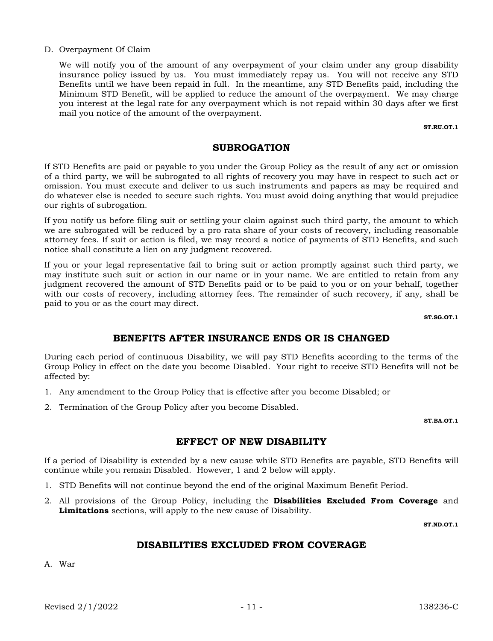#### D. Overpayment Of Claim

We will notify you of the amount of any overpayment of your claim under any group disability insurance policy issued by us. You must immediately repay us. You will not receive any STD Benefits until we have been repaid in full. In the meantime, any STD Benefits paid, including the Minimum STD Benefit, will be applied to reduce the amount of the overpayment. We may charge you interest at the legal rate for any overpayment which is not repaid within 30 days after we first mail you notice of the amount of the overpayment.

ST.RU.OT.1

#### SUBROGATION

If STD Benefits are paid or payable to you under the Group Policy as the result of any act or omission of a third party, we will be subrogated to all rights of recovery you may have in respect to such act or omission. You must execute and deliver to us such instruments and papers as may be required and do whatever else is needed to secure such rights. You must avoid doing anything that would prejudice our rights of subrogation.

If you notify us before filing suit or settling your claim against such third party, the amount to which we are subrogated will be reduced by a pro rata share of your costs of recovery, including reasonable attorney fees. If suit or action is filed, we may record a notice of payments of STD Benefits, and such notice shall constitute a lien on any judgment recovered.

If you or your legal representative fail to bring suit or action promptly against such third party, we may institute such suit or action in our name or in your name. We are entitled to retain from any judgment recovered the amount of STD Benefits paid or to be paid to you or on your behalf, together with our costs of recovery, including attorney fees. The remainder of such recovery, if any, shall be paid to you or as the court may direct.

ST.SG.OT.1

# BENEFITS AFTER INSURANCE ENDS OR IS CHANGED

During each period of continuous Disability, we will pay STD Benefits according to the terms of the Group Policy in effect on the date you become Disabled. Your right to receive STD Benefits will not be affected by:

- 1. Any amendment to the Group Policy that is effective after you become Disabled; or
- 2. Termination of the Group Policy after you become Disabled.

ST.BA.OT.1

# EFFECT OF NEW DISABILITY

If a period of Disability is extended by a new cause while STD Benefits are payable, STD Benefits will continue while you remain Disabled. However, 1 and 2 below will apply.

- 1. STD Benefits will not continue beyond the end of the original Maximum Benefit Period.
- 2. All provisions of the Group Policy, including the **Disabilities Excluded From Coverage** and Limitations sections, will apply to the new cause of Disability.

ST.ND.OT.1

# DISABILITIES EXCLUDED FROM COVERAGE

A. War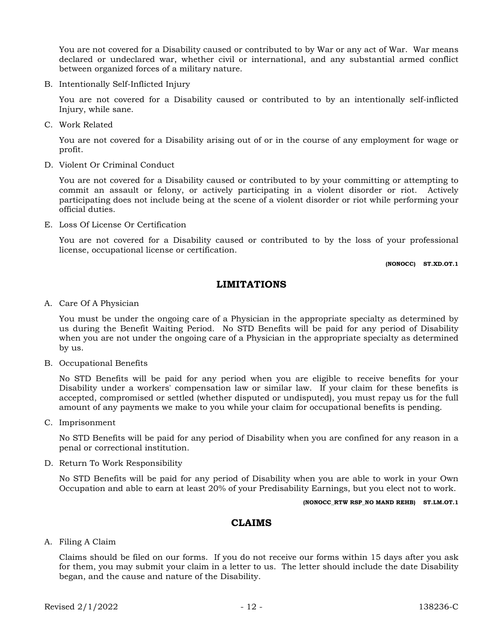You are not covered for a Disability caused or contributed to by War or any act of War. War means declared or undeclared war, whether civil or international, and any substantial armed conflict between organized forces of a military nature.

B. Intentionally Self-Inflicted Injury

You are not covered for a Disability caused or contributed to by an intentionally self-inflicted Injury, while sane.

C. Work Related

You are not covered for a Disability arising out of or in the course of any employment for wage or profit.

D. Violent Or Criminal Conduct

You are not covered for a Disability caused or contributed to by your committing or attempting to commit an assault or felony, or actively participating in a violent disorder or riot. Actively participating does not include being at the scene of a violent disorder or riot while performing your official duties.

E. Loss Of License Or Certification

You are not covered for a Disability caused or contributed to by the loss of your professional license, occupational license or certification.

(NONOCC) ST.XD.OT.1

# LIMITATIONS

A. Care Of A Physician

You must be under the ongoing care of a Physician in the appropriate specialty as determined by us during the Benefit Waiting Period. No STD Benefits will be paid for any period of Disability when you are not under the ongoing care of a Physician in the appropriate specialty as determined by us.

B. Occupational Benefits

No STD Benefits will be paid for any period when you are eligible to receive benefits for your Disability under a workers' compensation law or similar law. If your claim for these benefits is accepted, compromised or settled (whether disputed or undisputed), you must repay us for the full amount of any payments we make to you while your claim for occupational benefits is pending.

C. Imprisonment

No STD Benefits will be paid for any period of Disability when you are confined for any reason in a penal or correctional institution.

D. Return To Work Responsibility

No STD Benefits will be paid for any period of Disability when you are able to work in your Own Occupation and able to earn at least 20% of your Predisability Earnings, but you elect not to work.

(NONOCC\_RTW RSP\_NO MAND REHB) ST.LM.OT.1

### CLAIMS

A. Filing A Claim

Claims should be filed on our forms. If you do not receive our forms within 15 days after you ask for them, you may submit your claim in a letter to us. The letter should include the date Disability began, and the cause and nature of the Disability.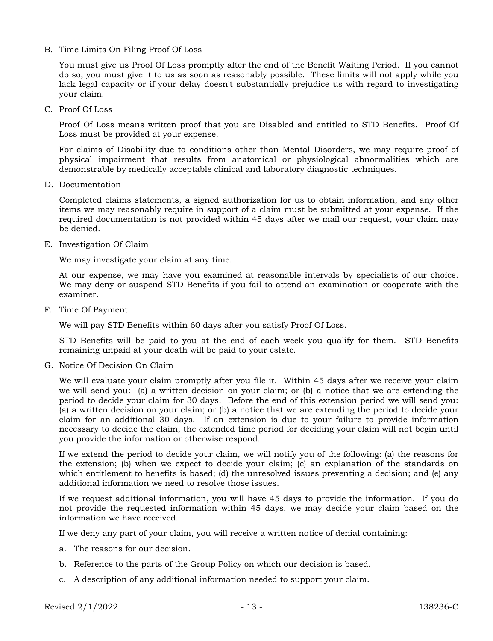B. Time Limits On Filing Proof Of Loss

You must give us Proof Of Loss promptly after the end of the Benefit Waiting Period. If you cannot do so, you must give it to us as soon as reasonably possible. These limits will not apply while you lack legal capacity or if your delay doesn't substantially prejudice us with regard to investigating your claim.

C. Proof Of Loss

Proof Of Loss means written proof that you are Disabled and entitled to STD Benefits. Proof Of Loss must be provided at your expense.

For claims of Disability due to conditions other than Mental Disorders, we may require proof of physical impairment that results from anatomical or physiological abnormalities which are demonstrable by medically acceptable clinical and laboratory diagnostic techniques.

D. Documentation

Completed claims statements, a signed authorization for us to obtain information, and any other items we may reasonably require in support of a claim must be submitted at your expense. If the required documentation is not provided within 45 days after we mail our request, your claim may be denied.

E. Investigation Of Claim

We may investigate your claim at any time.

At our expense, we may have you examined at reasonable intervals by specialists of our choice. We may deny or suspend STD Benefits if you fail to attend an examination or cooperate with the examiner.

F. Time Of Payment

We will pay STD Benefits within 60 days after you satisfy Proof Of Loss.

STD Benefits will be paid to you at the end of each week you qualify for them. STD Benefits remaining unpaid at your death will be paid to your estate.

G. Notice Of Decision On Claim

We will evaluate your claim promptly after you file it. Within 45 days after we receive your claim we will send you: (a) a written decision on your claim; or (b) a notice that we are extending the period to decide your claim for 30 days. Before the end of this extension period we will send you: (a) a written decision on your claim; or (b) a notice that we are extending the period to decide your claim for an additional 30 days. If an extension is due to your failure to provide information necessary to decide the claim, the extended time period for deciding your claim will not begin until you provide the information or otherwise respond.

If we extend the period to decide your claim, we will notify you of the following: (a) the reasons for the extension; (b) when we expect to decide your claim; (c) an explanation of the standards on which entitlement to benefits is based; (d) the unresolved issues preventing a decision; and (e) any additional information we need to resolve those issues.

If we request additional information, you will have 45 days to provide the information. If you do not provide the requested information within 45 days, we may decide your claim based on the information we have received.

If we deny any part of your claim, you will receive a written notice of denial containing:

- a. The reasons for our decision.
- b. Reference to the parts of the Group Policy on which our decision is based.
- c. A description of any additional information needed to support your claim.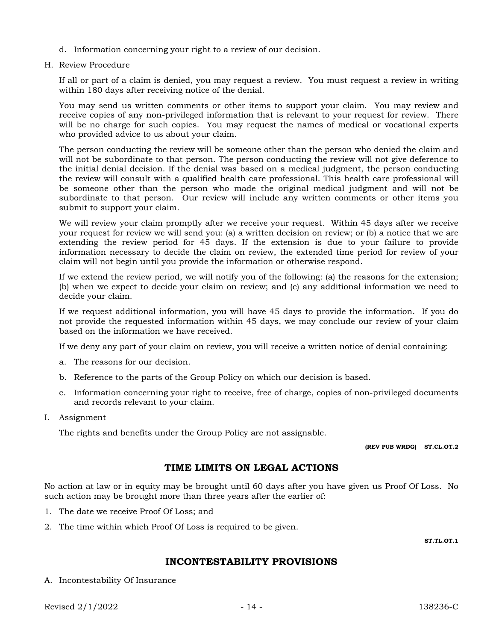- d. Information concerning your right to a review of our decision.
- H. Review Procedure

If all or part of a claim is denied, you may request a review. You must request a review in writing within 180 days after receiving notice of the denial.

You may send us written comments or other items to support your claim. You may review and receive copies of any non-privileged information that is relevant to your request for review. There will be no charge for such copies. You may request the names of medical or vocational experts who provided advice to us about your claim.

The person conducting the review will be someone other than the person who denied the claim and will not be subordinate to that person. The person conducting the review will not give deference to the initial denial decision. If the denial was based on a medical judgment, the person conducting the review will consult with a qualified health care professional. This health care professional will be someone other than the person who made the original medical judgment and will not be subordinate to that person. Our review will include any written comments or other items you submit to support your claim.

We will review your claim promptly after we receive your request. Within 45 days after we receive your request for review we will send you: (a) a written decision on review; or (b) a notice that we are extending the review period for 45 days. If the extension is due to your failure to provide information necessary to decide the claim on review, the extended time period for review of your claim will not begin until you provide the information or otherwise respond.

If we extend the review period, we will notify you of the following: (a) the reasons for the extension; (b) when we expect to decide your claim on review; and (c) any additional information we need to decide your claim.

If we request additional information, you will have 45 days to provide the information. If you do not provide the requested information within 45 days, we may conclude our review of your claim based on the information we have received.

If we deny any part of your claim on review, you will receive a written notice of denial containing:

- a. The reasons for our decision.
- b. Reference to the parts of the Group Policy on which our decision is based.
- c. Information concerning your right to receive, free of charge, copies of non-privileged documents and records relevant to your claim.
- I. Assignment

The rights and benefits under the Group Policy are not assignable.

(REV PUB WRDG) ST.CL.OT.2

# TIME LIMITS ON LEGAL ACTIONS

No action at law or in equity may be brought until 60 days after you have given us Proof Of Loss. No such action may be brought more than three years after the earlier of:

- 1. The date we receive Proof Of Loss; and
- 2. The time within which Proof Of Loss is required to be given.

ST.TL.OT.1

# INCONTESTABILITY PROVISIONS

A. Incontestability Of Insurance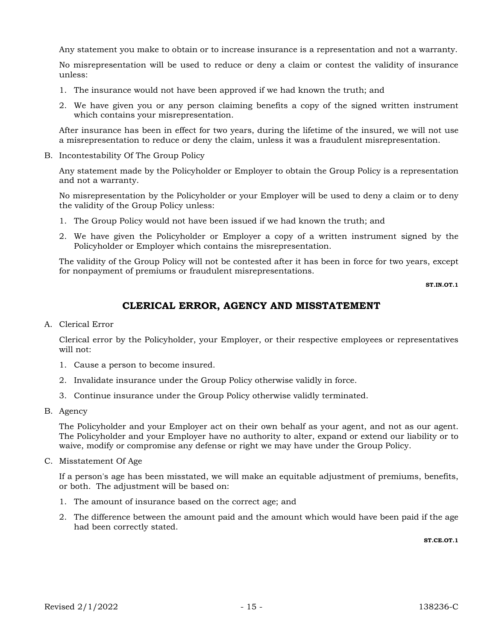Any statement you make to obtain or to increase insurance is a representation and not a warranty.

No misrepresentation will be used to reduce or deny a claim or contest the validity of insurance unless:

- 1. The insurance would not have been approved if we had known the truth; and
- 2. We have given you or any person claiming benefits a copy of the signed written instrument which contains your misrepresentation.

After insurance has been in effect for two years, during the lifetime of the insured, we will not use a misrepresentation to reduce or deny the claim, unless it was a fraudulent misrepresentation.

B. Incontestability Of The Group Policy

Any statement made by the Policyholder or Employer to obtain the Group Policy is a representation and not a warranty.

No misrepresentation by the Policyholder or your Employer will be used to deny a claim or to deny the validity of the Group Policy unless:

- 1. The Group Policy would not have been issued if we had known the truth; and
- 2. We have given the Policyholder or Employer a copy of a written instrument signed by the Policyholder or Employer which contains the misrepresentation.

The validity of the Group Policy will not be contested after it has been in force for two years, except for nonpayment of premiums or fraudulent misrepresentations.

ST.IN.OT.1

# CLERICAL ERROR, AGENCY AND MISSTATEMENT

A. Clerical Error

Clerical error by the Policyholder, your Employer, or their respective employees or representatives will not:

- 1. Cause a person to become insured.
- 2. Invalidate insurance under the Group Policy otherwise validly in force.
- 3. Continue insurance under the Group Policy otherwise validly terminated.
- B. Agency

The Policyholder and your Employer act on their own behalf as your agent, and not as our agent. The Policyholder and your Employer have no authority to alter, expand or extend our liability or to waive, modify or compromise any defense or right we may have under the Group Policy.

C. Misstatement Of Age

If a person's age has been misstated, we will make an equitable adjustment of premiums, benefits, or both. The adjustment will be based on:

- 1. The amount of insurance based on the correct age; and
- 2. The difference between the amount paid and the amount which would have been paid if the age had been correctly stated.

ST.CE.OT.1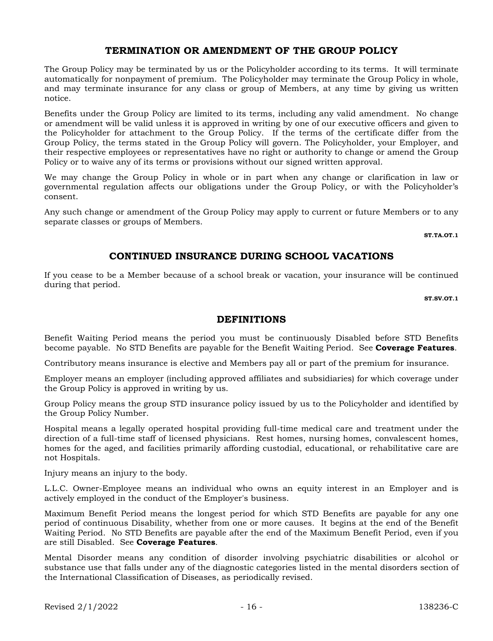# TERMINATION OR AMENDMENT OF THE GROUP POLICY

The Group Policy may be terminated by us or the Policyholder according to its terms. It will terminate automatically for nonpayment of premium. The Policyholder may terminate the Group Policy in whole, and may terminate insurance for any class or group of Members, at any time by giving us written notice.

Benefits under the Group Policy are limited to its terms, including any valid amendment. No change or amendment will be valid unless it is approved in writing by one of our executive officers and given to the Policyholder for attachment to the Group Policy. If the terms of the certificate differ from the Group Policy, the terms stated in the Group Policy will govern. The Policyholder, your Employer, and their respective employees or representatives have no right or authority to change or amend the Group Policy or to waive any of its terms or provisions without our signed written approval.

We may change the Group Policy in whole or in part when any change or clarification in law or governmental regulation affects our obligations under the Group Policy, or with the Policyholder's consent.

Any such change or amendment of the Group Policy may apply to current or future Members or to any separate classes or groups of Members.

ST.TA.OT.1

# CONTINUED INSURANCE DURING SCHOOL VACATIONS

If you cease to be a Member because of a school break or vacation, your insurance will be continued during that period.

ST.SV.OT.1

### DEFINITIONS

Benefit Waiting Period means the period you must be continuously Disabled before STD Benefits become payable. No STD Benefits are payable for the Benefit Waiting Period. See **Coverage Features**.

Contributory means insurance is elective and Members pay all or part of the premium for insurance.

Employer means an employer (including approved affiliates and subsidiaries) for which coverage under the Group Policy is approved in writing by us.

Group Policy means the group STD insurance policy issued by us to the Policyholder and identified by the Group Policy Number.

Hospital means a legally operated hospital providing full-time medical care and treatment under the direction of a full-time staff of licensed physicians. Rest homes, nursing homes, convalescent homes, homes for the aged, and facilities primarily affording custodial, educational, or rehabilitative care are not Hospitals.

Injury means an injury to the body.

L.L.C. Owner-Employee means an individual who owns an equity interest in an Employer and is actively employed in the conduct of the Employer's business.

Maximum Benefit Period means the longest period for which STD Benefits are payable for any one period of continuous Disability, whether from one or more causes. It begins at the end of the Benefit Waiting Period. No STD Benefits are payable after the end of the Maximum Benefit Period, even if you are still Disabled. See Coverage Features.

Mental Disorder means any condition of disorder involving psychiatric disabilities or alcohol or substance use that falls under any of the diagnostic categories listed in the mental disorders section of the International Classification of Diseases, as periodically revised.